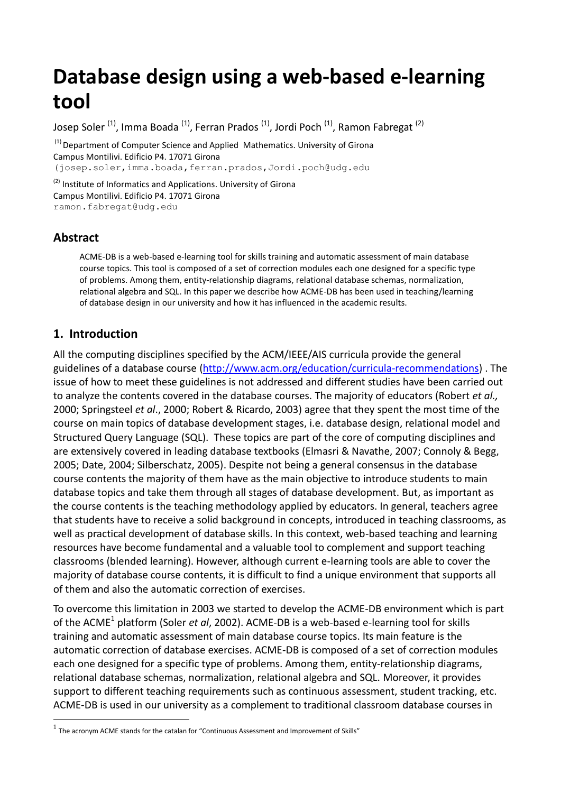# **Database design using a web-based e-learning tool**

Josep Soler<sup>(1)</sup>, Imma Boada<sup>(1)</sup>, Ferran Prados<sup>(1)</sup>, Jordi Poch<sup>(1)</sup>, Ramon Fabregat<sup>(2)</sup>

 $<sup>(1)</sup>$  Department of Computer Science and Applied Mathematics. University of Girona</sup> Campus Montilivi. Edificio P4. 17071 Girona (josep.soler,imma.boada,ferran.prados,Jordi.poch@udg.edu

<sup>(2)</sup> Institute of Informatics and Applications. University of Girona Campus Montilivi. Edificio P4. 17071 Girona [ramon.fabregat@udg.edu](mailto:ramon.fabregat@udg.edu)

## **Abstract**

<u>.</u>

ACME-DB is a web-based e-learning tool for skills training and automatic assessment of main database course topics. This tool is composed of a set of correction modules each one designed for a specific type of problems. Among them, entity-relationship diagrams, relational database schemas, normalization, relational algebra and SQL. In this paper we describe how ACME-DB has been used in teaching/learning of database design in our university and how it has influenced in the academic results.

# **1. Introduction**

All the computing disciplines specified by the ACM/IEEE/AIS curricula provide the general guidelines of a database course [\(http://www.acm.org/education/curricula-recommendations\)](http://www.acm.org/education/curricula-recommendations) . The issue of how to meet these guidelines is not addressed and different studies have been carried out to analyze the contents covered in the database courses. The majority of educators (Robert *et al.,* 2000; Springsteel *et al*., 2000; Robert & Ricardo, 2003) agree that they spent the most time of the course on main topics of database development stages, i.e. database design, relational model and Structured Query Language (SQL). These topics are part of the core of computing disciplines and are extensively covered in leading database textbooks (Elmasri & Navathe, 2007; Connoly & Begg, 2005; Date, 2004; Silberschatz, 2005). Despite not being a general consensus in the database course contents the majority of them have as the main objective to introduce students to main database topics and take them through all stages of database development. But, as important as the course contents is the teaching methodology applied by educators. In general, teachers agree that students have to receive a solid background in concepts, introduced in teaching classrooms, as well as practical development of database skills. In this context, web-based teaching and learning resources have become fundamental and a valuable tool to complement and support teaching classrooms (blended learning). However, although current e-learning tools are able to cover the majority of database course contents, it is difficult to find a unique environment that supports all of them and also the automatic correction of exercises.

To overcome this limitation in 2003 we started to develop the ACME-DB environment which is part of the ACME<sup>1</sup> platform (Soler *et al*, 2002). ACME-DB is a web-based e-learning tool for skills training and automatic assessment of main database course topics. Its main feature is the automatic correction of database exercises. ACME-DB is composed of a set of correction modules each one designed for a specific type of problems. Among them, entity-relationship diagrams, relational database schemas, normalization, relational algebra and SQL. Moreover, it provides support to different teaching requirements such as continuous assessment, student tracking, etc. ACME-DB is used in our university as a complement to traditional classroom database courses in

 $<sup>1</sup>$  The acronym ACME stands for the catalan for "Continuous Assessment and Improvement of Skills"</sup>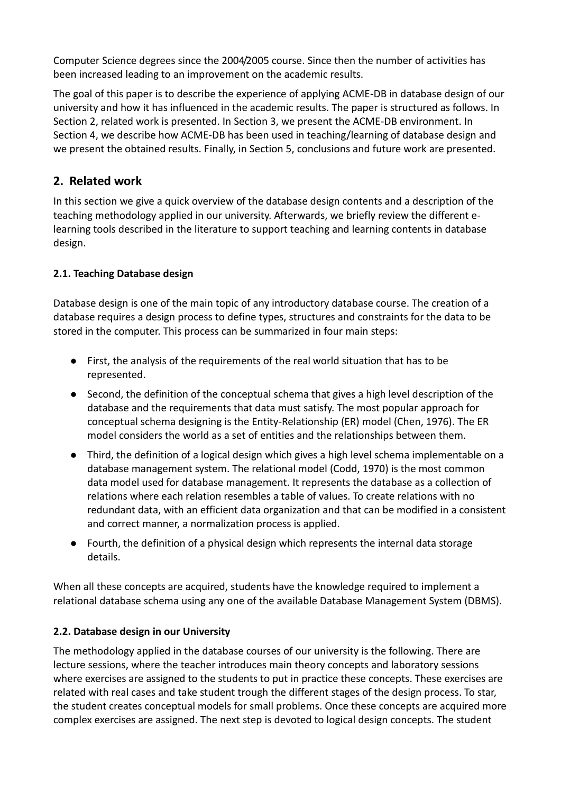Computer Science degrees since the 2004/2005 course. Since then the number of activities has been increased leading to an improvement on the academic results.

The goal of this paper is to describe the experience of applying ACME-DB in database design of our university and how it has influenced in the academic results. The paper is structured as follows. In Section 2, related work is presented. In Section 3, we present the ACME-DB environment. In Section 4, we describe how ACME-DB has been used in teaching/learning of database design and we present the obtained results. Finally, in Section 5, conclusions and future work are presented.

## **2. Related work**

In this section we give a quick overview of the database design contents and a description of the teaching methodology applied in our university. Afterwards, we briefly review the different elearning tools described in the literature to support teaching and learning contents in database design.

## **2.1. Teaching Database design**

Database design is one of the main topic of any introductory database course. The creation of a database requires a design process to define types, structures and constraints for the data to be stored in the computer. This process can be summarized in four main steps:

- First, the analysis of the requirements of the real world situation that has to be represented.
- Second, the definition of the conceptual schema that gives a high level description of the database and the requirements that data must satisfy. The most popular approach for conceptual schema designing is the Entity-Relationship (ER) model (Chen, 1976). The ER model considers the world as a set of entities and the relationships between them.
- Third, the definition of a logical design which gives a high level schema implementable on a database management system. The relational model (Codd, 1970) is the most common data model used for database management. It represents the database as a collection of relations where each relation resembles a table of values. To create relations with no redundant data, with an efficient data organization and that can be modified in a consistent and correct manner, a normalization process is applied.
- Fourth, the definition of a physical design which represents the internal data storage details.

When all these concepts are acquired, students have the knowledge required to implement a relational database schema using any one of the available Database Management System (DBMS).

### **2.2. Database design in our University**

The methodology applied in the database courses of our university is the following. There are lecture sessions, where the teacher introduces main theory concepts and laboratory sessions where exercises are assigned to the students to put in practice these concepts. These exercises are related with real cases and take student trough the different stages of the design process. To star, the student creates conceptual models for small problems. Once these concepts are acquired more complex exercises are assigned. The next step is devoted to logical design concepts. The student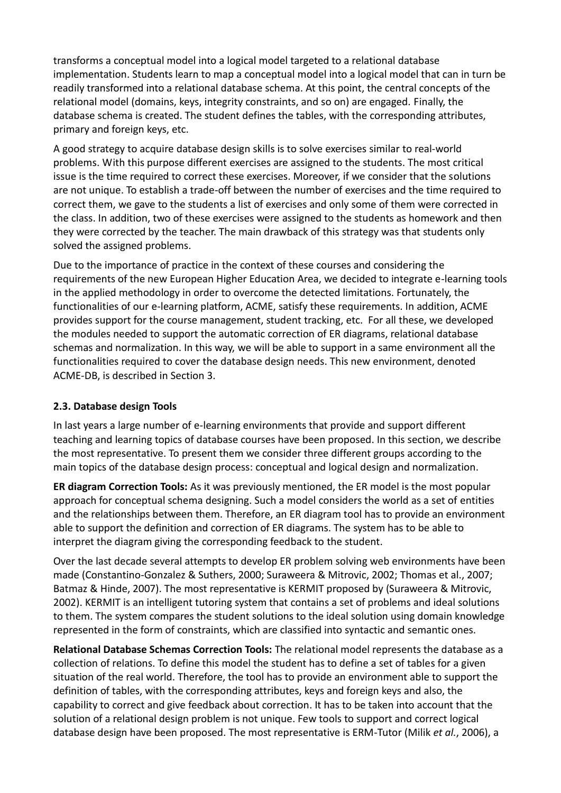transforms a conceptual model into a logical model targeted to a relational database implementation. Students learn to map a conceptual model into a logical model that can in turn be readily transformed into a relational database schema. At this point, the central concepts of the relational model (domains, keys, integrity constraints, and so on) are engaged. Finally, the database schema is created. The student defines the tables, with the corresponding attributes, primary and foreign keys, etc.

A good strategy to acquire database design skills is to solve exercises similar to real-world problems. With this purpose different exercises are assigned to the students. The most critical issue is the time required to correct these exercises. Moreover, if we consider that the solutions are not unique. To establish a trade-off between the number of exercises and the time required to correct them, we gave to the students a list of exercises and only some of them were corrected in the class. In addition, two of these exercises were assigned to the students as homework and then they were corrected by the teacher. The main drawback of this strategy was that students only solved the assigned problems.

Due to the importance of practice in the context of these courses and considering the requirements of the new European Higher Education Area, we decided to integrate e-learning tools in the applied methodology in order to overcome the detected limitations. Fortunately, the functionalities of our e-learning platform, ACME, satisfy these requirements. In addition, ACME provides support for the course management, student tracking, etc. For all these, we developed the modules needed to support the automatic correction of ER diagrams, relational database schemas and normalization. In this way, we will be able to support in a same environment all the functionalities required to cover the database design needs. This new environment, denoted ACME-DB, is described in Section 3.

#### **2.3. Database design Tools**

In last years a large number of e-learning environments that provide and support different teaching and learning topics of database courses have been proposed. In this section, we describe the most representative. To present them we consider three different groups according to the main topics of the database design process: conceptual and logical design and normalization.

**ER diagram Correction Tools:** As it was previously mentioned, the ER model is the most popular approach for conceptual schema designing. Such a model considers the world as a set of entities and the relationships between them. Therefore, an ER diagram tool has to provide an environment able to support the definition and correction of ER diagrams. The system has to be able to interpret the diagram giving the corresponding feedback to the student.

Over the last decade several attempts to develop ER problem solving web environments have been made (Constantino-Gonzalez & Suthers, 2000; Suraweera & Mitrovic, 2002; Thomas et al., 2007; Batmaz & Hinde, 2007). The most representative is KERMIT proposed by (Suraweera & Mitrovic, 2002). KERMIT is an intelligent tutoring system that contains a set of problems and ideal solutions to them. The system compares the student solutions to the ideal solution using domain knowledge represented in the form of constraints, which are classified into syntactic and semantic ones.

**Relational Database Schemas Correction Tools:** The relational model represents the database as a collection of relations. To define this model the student has to define a set of tables for a given situation of the real world. Therefore, the tool has to provide an environment able to support the definition of tables, with the corresponding attributes, keys and foreign keys and also, the capability to correct and give feedback about correction. It has to be taken into account that the solution of a relational design problem is not unique. Few tools to support and correct logical database design have been proposed. The most representative is ERM-Tutor (Milik *et al.*, 2006), a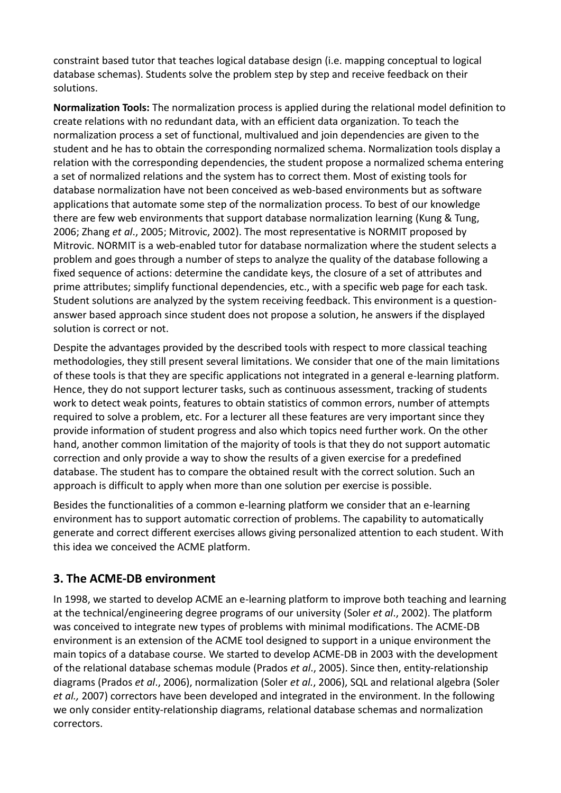constraint based tutor that teaches logical database design (i.e. mapping conceptual to logical database schemas). Students solve the problem step by step and receive feedback on their solutions.

**Normalization Tools:** The normalization process is applied during the relational model definition to create relations with no redundant data, with an efficient data organization. To teach the normalization process a set of functional, multivalued and join dependencies are given to the student and he has to obtain the corresponding normalized schema. Normalization tools display a relation with the corresponding dependencies, the student propose a normalized schema entering a set of normalized relations and the system has to correct them. Most of existing tools for database normalization have not been conceived as web-based environments but as software applications that automate some step of the normalization process. To best of our knowledge there are few web environments that support database normalization learning (Kung & Tung, 2006; Zhang *et al*., 2005; Mitrovic, 2002). The most representative is NORMIT proposed by Mitrovic. NORMIT is a web-enabled tutor for database normalization where the student selects a problem and goes through a number of steps to analyze the quality of the database following a fixed sequence of actions: determine the candidate keys, the closure of a set of attributes and prime attributes; simplify functional dependencies, etc., with a specific web page for each task. Student solutions are analyzed by the system receiving feedback. This environment is a questionanswer based approach since student does not propose a solution, he answers if the displayed solution is correct or not.

Despite the advantages provided by the described tools with respect to more classical teaching methodologies, they still present several limitations. We consider that one of the main limitations of these tools is that they are specific applications not integrated in a general e-learning platform. Hence, they do not support lecturer tasks, such as continuous assessment, tracking of students work to detect weak points, features to obtain statistics of common errors, number of attempts required to solve a problem, etc. For a lecturer all these features are very important since they provide information of student progress and also which topics need further work. On the other hand, another common limitation of the majority of tools is that they do not support automatic correction and only provide a way to show the results of a given exercise for a predefined database. The student has to compare the obtained result with the correct solution. Such an approach is difficult to apply when more than one solution per exercise is possible.

Besides the functionalities of a common e-learning platform we consider that an e-learning environment has to support automatic correction of problems. The capability to automatically generate and correct different exercises allows giving personalized attention to each student. With this idea we conceived the ACME platform.

## **3. The ACME-DB environment**

In 1998, we started to develop ACME an e-learning platform to improve both teaching and learning at the technical/engineering degree programs of our university (Soler *et al*., 2002). The platform was conceived to integrate new types of problems with minimal modifications. The ACME-DB environment is an extension of the ACME tool designed to support in a unique environment the main topics of a database course. We started to develop ACME-DB in 2003 with the development of the relational database schemas module (Prados *et al*., 2005). Since then, entity-relationship diagrams (Prados *et al*., 2006), normalization (Soler *et al.*, 2006), SQL and relational algebra (Soler *et al.,* 2007) correctors have been developed and integrated in the environment. In the following we only consider entity-relationship diagrams, relational database schemas and normalization correctors.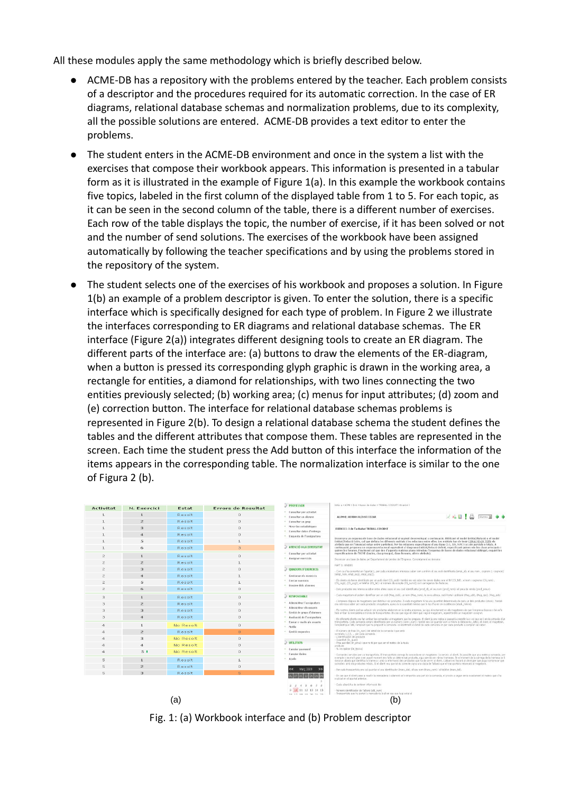All these modules apply the same methodology which is briefly described below.

- ACME-DB has a repository with the problems entered by the teacher. Each problem consists of a descriptor and the procedures required for its automatic correction. In the case of ER diagrams, relational database schemas and normalization problems, due to its complexity, all the possible solutions are entered. ACME-DB provides a text editor to enter the problems.
- The student enters in the ACME-DB environment and once in the system a list with the exercises that compose their workbook appears. This information is presented in a tabular form as it is illustrated in the example of Figure 1(a). In this example the workbook contains five topics, labeled in the first column of the displayed table from 1 to 5. For each topic, as it can be seen in the second column of the table, there is a different number of exercises. Each row of the table displays the topic, the number of exercise, if it has been solved or not and the number of send solutions. The exercises of the workbook have been assigned automatically by following the teacher specifications and by using the problems stored in the repository of the system.
- The student selects one of the exercises of his workbook and proposes a solution. In Figure 1(b) an example of a problem descriptor is given. To enter the solution, there is a specific interface which is specifically designed for each type of problem. In Figure 2 we illustrate the interfaces corresponding to ER diagrams and relational database schemas. The ER interface (Figure 2(a)) integrates different designing tools to create an ER diagram. The different parts of the interface are: (a) buttons to draw the elements of the ER-diagram, when a button is pressed its corresponding glyph graphic is drawn in the working area, a rectangle for entities, a diamond for relationships, with two lines connecting the two entities previously selected; (b) working area; (c) menus for input attributes; (d) zoom and (e) correction button. The interface for relational database schemas problems is represented in Figure 2(b). To design a relational database schema the student defines the tables and the different attributes that compose them. These tables are represented in the screen. Each time the student press the Add button of this interface the information of the items appears in the corresponding table. The normalization interface is similar to the one of Figura 2 (b).



Fig. 1: (a) Workbook interface and (b) Problem descriptor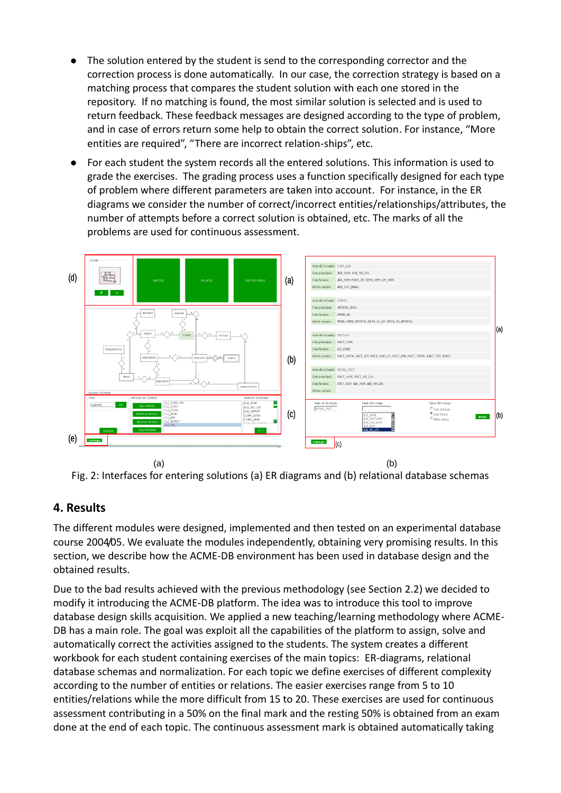- The solution entered by the student is send to the corresponding corrector and the correction process is done automatically. In our case, the correction strategy is based on a matching process that compares the student solution with each one stored in the repository. If no matching is found, the most similar solution is selected and is used to return feedback. These feedback messages are designed according to the type of problem, and in case of errors return some help to obtain the correct solution. For instance, "More entities are required", "There are incorrect relation-ships", etc.
- For each student the system records all the entered solutions. This information is used to grade the exercises. The grading process uses a function specifically designed for each type of problem where different parameters are taken into account. For instance, in the ER diagrams we consider the number of correct/incorrect entities/relationships/attributes, the number of attempts before a correct solution is obtained, etc. The marks of all the problems are used for continuous assessment.





## **4. Results**

The different modules were designed, implemented and then tested on an experimental database course 2004/05. We evaluate the modules independently, obtaining very promising results. In this section, we describe how the ACME-DB environment has been used in database design and the obtained results.

Due to the bad results achieved with the previous methodology (see Section 2.2) we decided to modify it introducing the ACME-DB platform. The idea was to introduce this tool to improve database design skills acquisition. We applied a new teaching/learning methodology where ACME-DB has a main role. The goal was exploit all the capabilities of the platform to assign, solve and automatically correct the activities assigned to the students. The system creates a different workbook for each student containing exercises of the main topics: ER-diagrams, relational database schemas and normalization. For each topic we define exercises of different complexity according to the number of entities or relations. The easier exercises range from 5 to 10 entities/relations while the more difficult from 15 to 20. These exercises are used for continuous assessment contributing in a 50% on the final mark and the resting 50% is obtained from an exam done at the end of each topic. The continuous assessment mark is obtained automatically taking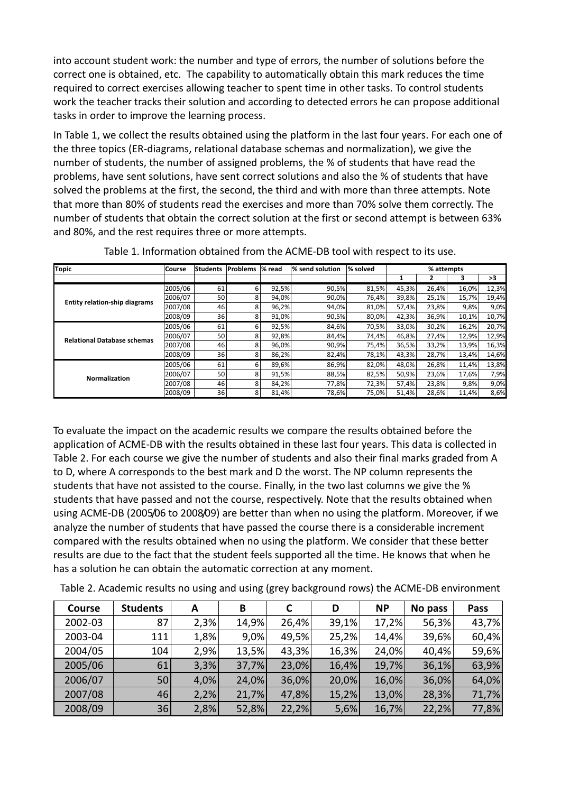into account student work: the number and type of errors, the number of solutions before the correct one is obtained, etc. The capability to automatically obtain this mark reduces the time required to correct exercises allowing teacher to spent time in other tasks. To control students work the teacher tracks their solution and according to detected errors he can propose additional tasks in order to improve the learning process.

In Table 1, we collect the results obtained using the platform in the last four years. For each one of the three topics (ER-diagrams, relational database schemas and normalization), we give the number of students, the number of assigned problems, the % of students that have read the problems, have sent solutions, have sent correct solutions and also the % of students that have solved the problems at the first, the second, the third and with more than three attempts. Note that more than 80% of students read the exercises and more than 70% solve them correctly. The number of students that obtain the correct solution at the first or second attempt is between 63% and 80%, and the rest requires three or more attempts.

| <b>Topic</b>                         | <b>Course</b> | Students | <b>Problems</b> | % read | % send solution | % solved | % attempts |       |       |       |
|--------------------------------------|---------------|----------|-----------------|--------|-----------------|----------|------------|-------|-------|-------|
|                                      |               |          |                 |        |                 |          | 1          |       | 3     | >3    |
| <b>Entity relation-ship diagrams</b> | 2005/06       | 61       | 6               | 92,5%  | 90,5%           | 81,5%    | 45,3%      | 26,4% | 16,0% | 12,3% |
|                                      | 2006/07       | 50       | 8               | 94,0%  | 90,0%           | 76,4%    | 39,8%      | 25,1% | 15,7% | 19,4% |
|                                      | 2007/08       | 46       | 8               | 96,2%  | 94,0%           | 81,0%    | 57.4%      | 23,8% | 9,8%  | 9,0%  |
|                                      | 2008/09       | 36       | 8               | 91,0%  | 90,5%           | 80,0%    | 42,3%      | 36,9% | 10,1% | 10,7% |
|                                      | 2005/06       | 61       | 6               | 92,5%  | 84,6%           | 70,5%    | 33,0%      | 30,2% | 16,2% | 20,7% |
| <b>Relational Database schemas</b>   | 2006/07       | 50       | 8               | 92,8%  | 84,4%           | 74,4%    | 46.8%      | 27,4% | 12,9% | 12,9% |
|                                      | 2007/08       | 46       | 8               | 96,0%  | 90,9%           | 75,4%    | 36,5%      | 33,2% | 13,9% | 16,3% |
|                                      | 2008/09       | 36       | 8               | 86,2%  | 82,4%           | 78,1%    | 43,3%      | 28,7% | 13,4% | 14,6% |
|                                      | 2005/06       | 61       | 6               | 89,6%  | 86,9%           | 82,0%    | 48.0%      | 26,8% | 11,4% | 13,8% |
| <b>Normalization</b>                 | 2006/07       | 50       | 8               | 91,5%  | 88,5%           | 82,5%    | 50.9%      | 23,6% | 17,6% | 7,9%  |
|                                      | 2007/08       | 46       | ጸ               | 84,2%  | 77,8%           | 72,3%    | 57,4%      | 23,8% | 9,8%  | 9,0%  |
|                                      | 2008/09       | 36       | 8               | 81,4%  | 78,6%           | 75,0%    | 51,4%      | 28,6% | 11,4% | 8,6%  |

Table 1. Information obtained from the ACME-DB tool with respect to its use.

To evaluate the impact on the academic results we compare the results obtained before the application of ACME-DB with the results obtained in these last four years. This data is collected in Table 2. For each course we give the number of students and also their final marks graded from A to D, where A corresponds to the best mark and D the worst. The NP column represents the students that have not assisted to the course. Finally, in the two last columns we give the % students that have passed and not the course, respectively. Note that the results obtained when using ACME-DB (2005/06 to 2008/09) are better than when no using the platform. Moreover, if we analyze the number of students that have passed the course there is a considerable increment compared with the results obtained when no using the platform. We consider that these better results are due to the fact that the student feels supported all the time. He knows that when he has a solution he can obtain the automatic correction at any moment.

| <b>Course</b> | <b>Students</b> | А    | В     |       | D     | <b>NP</b> | No pass | Pass  |
|---------------|-----------------|------|-------|-------|-------|-----------|---------|-------|
| 2002-03       | 87              | 2,3% | 14,9% | 26,4% | 39,1% | 17,2%     | 56,3%   | 43,7% |
| 2003-04       | 111             | 1,8% | 9,0%  | 49,5% | 25,2% | 14,4%     | 39,6%   | 60,4% |
| 2004/05       | 104             | 2,9% | 13,5% | 43,3% | 16,3% | 24,0%     | 40,4%   | 59,6% |
| 2005/06       | 61              | 3,3% | 37,7% | 23,0% | 16,4% | 19,7%     | 36,1%   | 63,9% |
| 2006/07       | 50              | 4,0% | 24,0% | 36,0% | 20,0% | 16,0%     | 36,0%   | 64,0% |
| 2007/08       | 46              | 2,2% | 21,7% | 47,8% | 15,2% | 13,0%     | 28,3%   | 71,7% |
| 2008/09       | 36              | 2,8% | 52,8% | 22,2% | 5,6%  | 16,7%     | 22,2%   | 77,8% |

Table 2. Academic results no using and using (grey background rows) the ACME-DB environment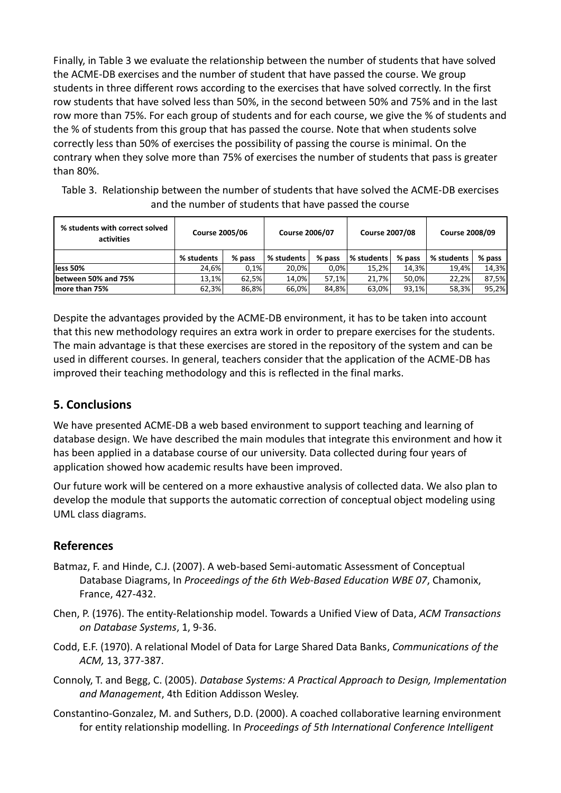Finally, in Table 3 we evaluate the relationship between the number of students that have solved the ACME-DB exercises and the number of student that have passed the course. We group students in three different rows according to the exercises that have solved correctly. In the first row students that have solved less than 50%, in the second between 50% and 75% and in the last row more than 75%. For each group of students and for each course, we give the % of students and the % of students from this group that has passed the course. Note that when students solve correctly less than 50% of exercises the possibility of passing the course is minimal. On the contrary when they solve more than 75% of exercises the number of students that pass is greater than 80%.

| Table 3. Relationship between the number of students that have solved the ACME-DB exercises |
|---------------------------------------------------------------------------------------------|
| and the number of students that have passed the course                                      |

| % students with correct solved<br>activities | <b>Course 2005/06</b> |        | <b>Course 2006/07</b> |          | <b>Course 2007/08</b> |        | <b>Course 2008/09</b> |        |
|----------------------------------------------|-----------------------|--------|-----------------------|----------|-----------------------|--------|-----------------------|--------|
|                                              | % students            | % pass | % students            | $%$ pass | % students            | % pass | % students            | % pass |
| less 50%                                     | 24.6%                 | 0.1%   | 20.0%                 | 0.0%     | 15.2%                 | 14.3%  | 19.4%                 | 14,3%  |
| between 50% and 75%                          | 13.1%                 | 62.5%  | 14.0%                 | 57.1%    | 21.7%                 | 50,0%  | 22.2%                 | 87,5%  |
| Imore than 75%                               | 62,3%                 | 86.8%  | 66,0%                 | 84.8%    | 63,0%                 | 93,1%  | 58,3%                 | 95,2%  |

Despite the advantages provided by the ACME-DB environment, it has to be taken into account that this new methodology requires an extra work in order to prepare exercises for the students. The main advantage is that these exercises are stored in the repository of the system and can be used in different courses. In general, teachers consider that the application of the ACME-DB has improved their teaching methodology and this is reflected in the final marks.

## **5. Conclusions**

We have presented ACME-DB a web based environment to support teaching and learning of database design. We have described the main modules that integrate this environment and how it has been applied in a database course of our university. Data collected during four years of application showed how academic results have been improved.

Our future work will be centered on a more exhaustive analysis of collected data. We also plan to develop the module that supports the automatic correction of conceptual object modeling using UML class diagrams.

## **References**

- Batmaz, F. and Hinde, C.J. (2007). A web-based Semi-automatic Assessment of Conceptual Database Diagrams, In *Proceedings of the 6th Web-Based Education WBE 07*, Chamonix, France, 427-432.
- Chen, P. (1976). The entity-Relationship model. Towards a Unified View of Data, *ACM Transactions on Database Systems*, 1, 9-36.
- Codd, E.F. (1970). A relational Model of Data for Large Shared Data Banks, *Communications of the ACM,* 13, 377-387.
- Connoly, T. and Begg, C. (2005). *Database Systems: A Practical Approach to Design, Implementation and Management*, 4th Edition Addisson Wesley.
- Constantino-Gonzalez, M. and Suthers, D.D. (2000). A coached collaborative learning environment for entity relationship modelling. In *Proceedings of 5th International Conference Intelligent*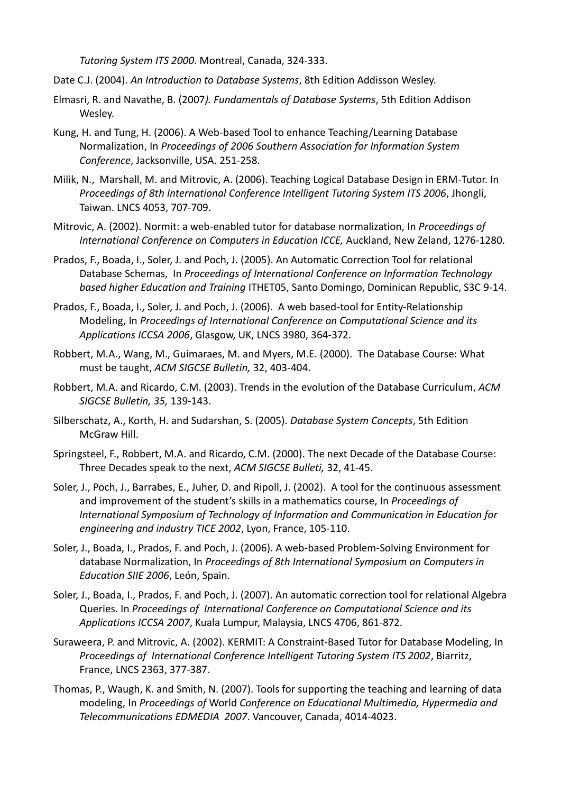*Tutoring System ITS 2000*. Montreal, Canada, 324-333.

- Date C.J. (2004). *An Introduction to Database Systems*, 8th Edition Addisson Wesley.
- Elmasri, R. and Navathe, B. (2007*). Fundamentals of Database Systems*, 5th Edition Addison Wesley.
- Kung, H. and Tung, H. (2006). A Web-based Tool to enhance Teaching/Learning Database Normalization, In *Proceedings of 2006 Southern Association for Information System Conference*, Jacksonville, USA. 251-258.
- Milik, N., Marshall, M. and Mitrovic, A. (2006). Teaching Logical Database Design in ERM-Tutor. In *Proceedings of 8th International Conference Intelligent Tutoring System ITS 2006*, Jhongli, Taiwan. LNCS 4053, 707-709.
- Mitrovic, A. (2002). Normit: a web-enabled tutor for database normalization, In *Proceedings of International Conference on Computers in Education ICCE,* Auckland, New Zeland, 1276-1280.
- Prados, F., Boada, I., Soler, J. and Poch, J. (2005). An Automatic Correction Tool for relational Database Schemas, In *Proceedings of International Conference on Information Technology based higher Education and Training* ITHET05, Santo Domingo, Dominican Republic, S3C 9-14.
- Prados, F., Boada, I., Soler, J. and Poch, J. (2006). A web based-tool for Entity-Relationship Modeling, In *Proceedings of International Conference on Computational Science and its Applications ICCSA 2006*, Glasgow, UK, LNCS 3980, 364-372.
- Robbert, M.A., Wang, M., Guimaraes, M. and Myers, M.E. (2000). The Database Course: What must be taught, *ACM SIGCSE Bulletin,* 32, 403-404.
- Robbert, M.A. and Ricardo, C.M. (2003). Trends in the evolution of the Database Curriculum, *ACM SIGCSE Bulletin, 35,* 139-143.
- Silberschatz, A., Korth, H. and Sudarshan, S. (2005). *Database System Concepts*, 5th Edition McGraw Hill.
- Springsteel, F., Robbert, M.A. and Ricardo, C.M. (2000). The next Decade of the Database Course: Three Decades speak to the next, *ACM SIGCSE Bulleti,* 32, 41-45.
- Soler, J., Poch, J., Barrabes, E., Juher, D. and Ripoll, J. (2002). A tool for the continuous assessment and improvement of the student's skills in a mathematics course, In *Proceedings of International Symposium of Technology of Information and Communication in Education for engineering and industry TICE 2002*, Lyon, France, 105-110.
- Soler, J., Boada, I., Prados, F. and Poch, J. (2006). A web-based Problem-Solving Environment for database Normalization, In *Proceedings of 8th International Symposium on Computers in Education SIIE 2006*, León, Spain.
- Soler, J., Boada, I., Prados, F. and Poch, J. (2007). An automatic correction tool for relational Algebra Queries. In *Proceedings of International Conference on Computational Science and its Applications ICCSA 2007*, Kuala Lumpur, Malaysia, LNCS 4706, 861-872.
- Suraweera, P. and Mitrovic, A. (2002). KERMIT: A Constraint-Based Tutor for Database Modeling, In *Proceedings of International Conference Intelligent Tutoring System ITS 2002*, Biarritz, France, LNCS 2363, 377-387.
- Thomas, P., Waugh, K. and Smith, N. (2007). Tools for supporting the teaching and learning of data modeling, In *Proceedings of* World *Conference on Educational Multimedia, Hypermedia and Telecommunications EDMEDIA 2007*. Vancouver, Canada, 4014-4023.